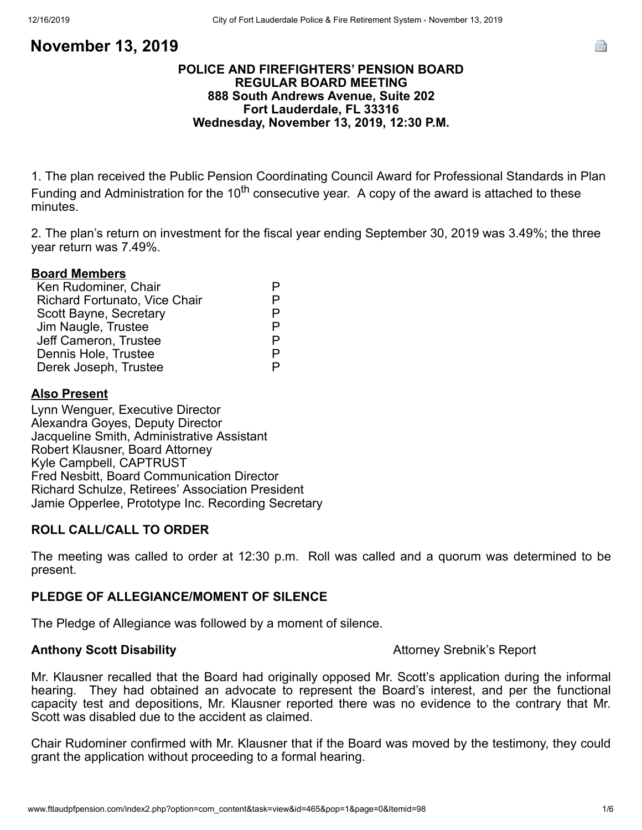## **POLICE AND FIREFIGHTERS' PENSION BOARD REGULAR BOARD MEETING 888 South Andrews Avenue, Suite 202 Fort Lauderdale, FL 33316 Wednesday, November 13, 2019, 12:30 P.M.**

1. The plan received the Public Pension Coordinating Council Award for Professional Standards in Plan Funding and Administration for the 10<sup>th</sup> consecutive year. A copy of the award is attached to these minutes.

2. The plan's return on investment for the fiscal year ending September 30, 2019 was 3.49%; the three year return was 7.49%.

### **Board Members**

| Ken Rudominer, Chair                 |    |
|--------------------------------------|----|
| <b>Richard Fortunato, Vice Chair</b> |    |
| Scott Bayne, Secretary               | P. |
| Jim Naugle, Trustee                  |    |
| Jeff Cameron, Trustee                | P  |
| Dennis Hole, Trustee                 | P  |
| Derek Joseph, Trustee                |    |

### **Also Present**

Lynn Wenguer, Executive Director Alexandra Goyes, Deputy Director Jacqueline Smith, Administrative Assistant Robert Klausner, Board Attorney Kyle Campbell, CAPTRUST Fred Nesbitt, Board Communication Director Richard Schulze, Retirees' Association President Jamie Opperlee, Prototype Inc. Recording Secretary

## **ROLL CALL/CALL TO ORDER**

The meeting was called to order at 12:30 p.m. Roll was called and a quorum was determined to be present.

## **PLEDGE OF ALLEGIANCE/MOMENT OF SILENCE**

The Pledge of Allegiance was followed by a moment of silence.

#### **Anthony Scott Disability** Anthony Srebnik's Report

Mr. Klausner recalled that the Board had originally opposed Mr. Scott's application during the informal hearing. They had obtained an advocate to represent the Board's interest, and per the functional capacity test and depositions, Mr. Klausner reported there was no evidence to the contrary that Mr. Scott was disabled due to the accident as claimed.

Chair Rudominer confirmed with Mr. Klausner that if the Board was moved by the testimony, they could grant the application without proceeding to a formal hearing.

e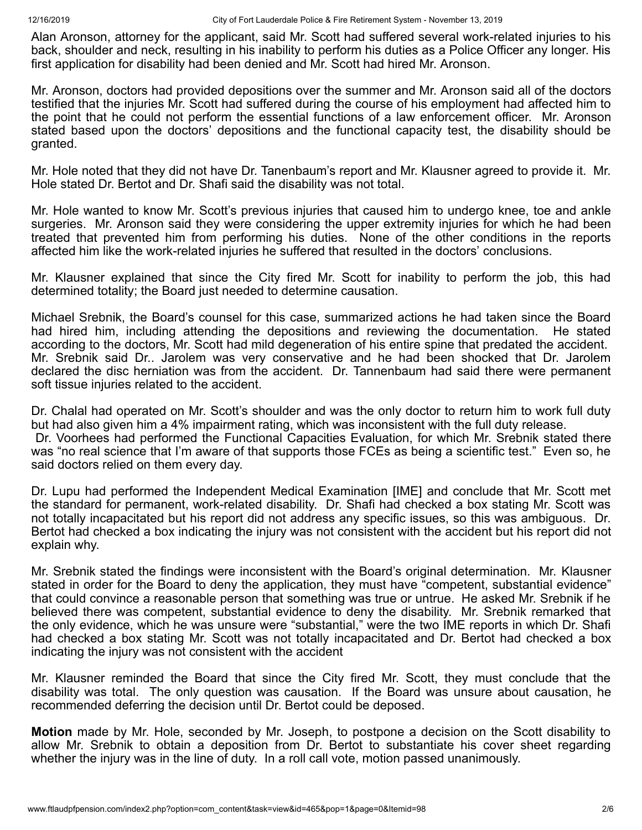Alan Aronson, attorney for the applicant, said Mr. Scott had suffered several work-related injuries to his back, shoulder and neck, resulting in his inability to perform his duties as a Police Officer any longer. His first application for disability had been denied and Mr. Scott had hired Mr. Aronson.

Mr. Aronson, doctors had provided depositions over the summer and Mr. Aronson said all of the doctors testified that the injuries Mr. Scott had suffered during the course of his employment had affected him to the point that he could not perform the essential functions of a law enforcement officer. Mr. Aronson stated based upon the doctors' depositions and the functional capacity test, the disability should be granted.

Mr. Hole noted that they did not have Dr. Tanenbaum's report and Mr. Klausner agreed to provide it. Mr. Hole stated Dr. Bertot and Dr. Shafi said the disability was not total.

Mr. Hole wanted to know Mr. Scott's previous injuries that caused him to undergo knee, toe and ankle surgeries. Mr. Aronson said they were considering the upper extremity injuries for which he had been treated that prevented him from performing his duties. None of the other conditions in the reports affected him like the work-related injuries he suffered that resulted in the doctors' conclusions.

Mr. Klausner explained that since the City fired Mr. Scott for inability to perform the job, this had determined totality; the Board just needed to determine causation.

Michael Srebnik, the Board's counsel for this case, summarized actions he had taken since the Board had hired him, including attending the depositions and reviewing the documentation. He stated according to the doctors, Mr. Scott had mild degeneration of his entire spine that predated the accident. Mr. Srebnik said Dr.. Jarolem was very conservative and he had been shocked that Dr. Jarolem declared the disc herniation was from the accident. Dr. Tannenbaum had said there were permanent soft tissue injuries related to the accident.

Dr. Chalal had operated on Mr. Scott's shoulder and was the only doctor to return him to work full duty but had also given him a 4% impairment rating, which was inconsistent with the full duty release.

Dr. Voorhees had performed the Functional Capacities Evaluation, for which Mr. Srebnik stated there was "no real science that I'm aware of that supports those FCEs as being a scientific test." Even so, he said doctors relied on them every day.

Dr. Lupu had performed the Independent Medical Examination [IME] and conclude that Mr. Scott met the standard for permanent, work-related disability. Dr. Shafi had checked a box stating Mr. Scott was not totally incapacitated but his report did not address any specific issues, so this was ambiguous. Dr. Bertot had checked a box indicating the injury was not consistent with the accident but his report did not explain why.

Mr. Srebnik stated the findings were inconsistent with the Board's original determination. Mr. Klausner stated in order for the Board to deny the application, they must have "competent, substantial evidence" that could convince a reasonable person that something was true or untrue. He asked Mr. Srebnik if he believed there was competent, substantial evidence to deny the disability. Mr. Srebnik remarked that the only evidence, which he was unsure were "substantial," were the two IME reports in which Dr. Shafi had checked a box stating Mr. Scott was not totally incapacitated and Dr. Bertot had checked a box indicating the injury was not consistent with the accident

Mr. Klausner reminded the Board that since the City fired Mr. Scott, they must conclude that the disability was total. The only question was causation. If the Board was unsure about causation, he recommended deferring the decision until Dr. Bertot could be deposed.

**Motion** made by Mr. Hole, seconded by Mr. Joseph, to postpone a decision on the Scott disability to allow Mr. Srebnik to obtain a deposition from Dr. Bertot to substantiate his cover sheet regarding whether the injury was in the line of duty. In a roll call vote, motion passed unanimously.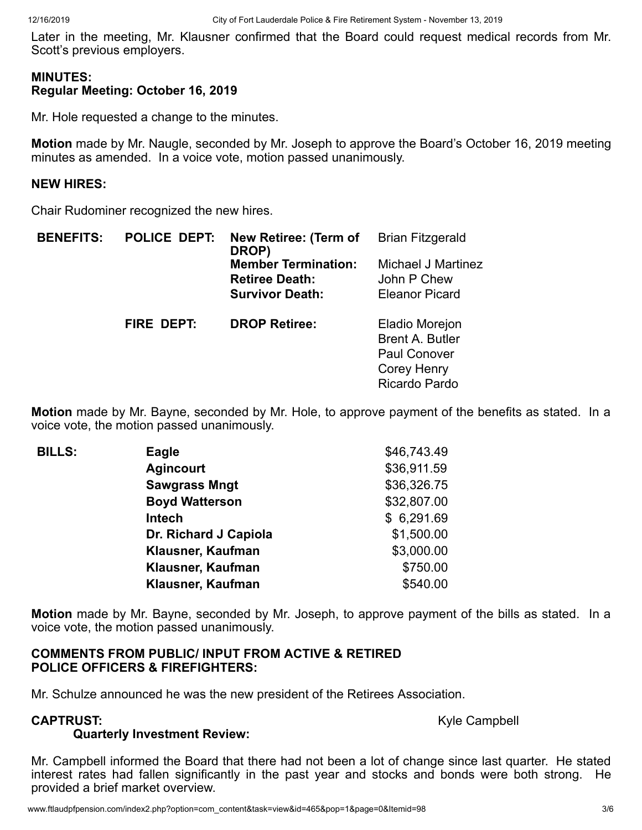Later in the meeting, Mr. Klausner confirmed that the Board could request medical records from Mr. Scott's previous employers.

## **MINUTES: Regular Meeting: October 16, 2019**

Mr. Hole requested a change to the minutes.

**Motion** made by Mr. Naugle, seconded by Mr. Joseph to approve the Board's October 16, 2019 meeting minutes as amended. In a voice vote, motion passed unanimously.

## **NEW HIRES:**

Chair Rudominer recognized the new hires.

| <b>BENEFITS:</b> | <b>POLICE DEPT:</b> | <b>New Retiree: (Term of</b><br>DROP)<br><b>Member Termination:</b><br><b>Retiree Death:</b><br><b>Survivor Death:</b> | <b>Brian Fitzgerald</b><br>Michael J Martinez<br>John P Chew<br><b>Eleanor Picard</b>           |
|------------------|---------------------|------------------------------------------------------------------------------------------------------------------------|-------------------------------------------------------------------------------------------------|
|                  | FIRE DEPT:          | <b>DROP Retiree:</b>                                                                                                   | Eladio Morejon<br><b>Brent A. Butler</b><br><b>Paul Conover</b><br>Corey Henry<br>Ricardo Pardo |

**Motion** made by Mr. Bayne, seconded by Mr. Hole, to approve payment of the benefits as stated. In a voice vote, the motion passed unanimously.

| <b>BILLS:</b> | <b>Eagle</b>          | \$46,743.49 |
|---------------|-----------------------|-------------|
|               | <b>Agincourt</b>      | \$36,911.59 |
|               | <b>Sawgrass Mngt</b>  | \$36,326.75 |
|               | <b>Boyd Watterson</b> | \$32,807.00 |
|               | Intech                | \$6,291.69  |
|               | Dr. Richard J Capiola | \$1,500.00  |
|               | Klausner, Kaufman     | \$3,000.00  |
|               | Klausner, Kaufman     | \$750.00    |
|               | Klausner, Kaufman     | \$540.00    |

**Motion** made by Mr. Bayne, seconded by Mr. Joseph, to approve payment of the bills as stated. In a voice vote, the motion passed unanimously.

## **COMMENTS FROM PUBLIC/ INPUT FROM ACTIVE & RETIRED POLICE OFFICERS & FIREFIGHTERS:**

Mr. Schulze announced he was the new president of the Retirees Association.

**CAPTRUST:**  $Kyle$  CAPTRUST:

# **Quarterly Investment Review:**

Mr. Campbell informed the Board that there had not been a lot of change since last quarter. He stated interest rates had fallen significantly in the past year and stocks and bonds were both strong. He provided a brief market overview.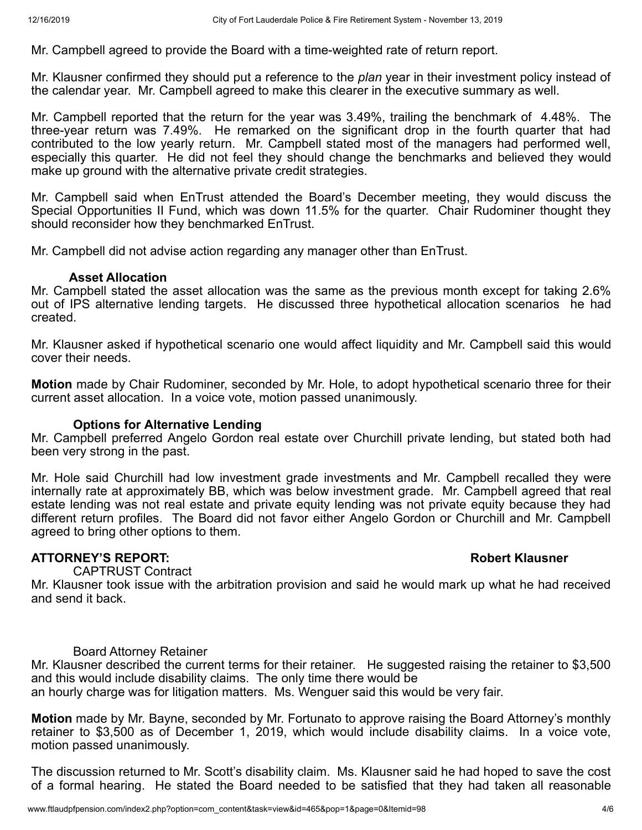Mr. Campbell agreed to provide the Board with a time-weighted rate of return report.

Mr. Klausner confirmed they should put a reference to the *plan* year in their investment policy instead of the calendar year. Mr. Campbell agreed to make this clearer in the executive summary as well.

Mr. Campbell reported that the return for the year was 3.49%, trailing the benchmark of 4.48%. The three-year return was 7.49%. He remarked on the significant drop in the fourth quarter that had contributed to the low yearly return. Mr. Campbell stated most of the managers had performed well, especially this quarter. He did not feel they should change the benchmarks and believed they would make up ground with the alternative private credit strategies.

Mr. Campbell said when EnTrust attended the Board's December meeting, they would discuss the Special Opportunities II Fund, which was down 11.5% for the quarter. Chair Rudominer thought they should reconsider how they benchmarked EnTrust.

Mr. Campbell did not advise action regarding any manager other than EnTrust.

### **Asset Allocation**

Mr. Campbell stated the asset allocation was the same as the previous month except for taking 2.6% out of IPS alternative lending targets. He discussed three hypothetical allocation scenarios he had created.

Mr. Klausner asked if hypothetical scenario one would affect liquidity and Mr. Campbell said this would cover their needs.

**Motion** made by Chair Rudominer, seconded by Mr. Hole, to adopt hypothetical scenario three for their current asset allocation. In a voice vote, motion passed unanimously.

### **Options for Alternative Lending**

Mr. Campbell preferred Angelo Gordon real estate over Churchill private lending, but stated both had been very strong in the past.

Mr. Hole said Churchill had low investment grade investments and Mr. Campbell recalled they were internally rate at approximately BB, which was below investment grade. Mr. Campbell agreed that real estate lending was not real estate and private equity lending was not private equity because they had different return profiles. The Board did not favor either Angelo Gordon or Churchill and Mr. Campbell agreed to bring other options to them.

### **ATTORNEY'S REPORT: Robert Klausner**

CAPTRUST Contract

Mr. Klausner took issue with the arbitration provision and said he would mark up what he had received and send it back.

### Board Attorney Retainer

Mr. Klausner described the current terms for their retainer. He suggested raising the retainer to \$3,500 and this would include disability claims. The only time there would be an hourly charge was for litigation matters. Ms. Wenguer said this would be very fair.

**Motion** made by Mr. Bayne, seconded by Mr. Fortunato to approve raising the Board Attorney's monthly retainer to \$3,500 as of December 1, 2019, which would include disability claims. In a voice vote, motion passed unanimously.

The discussion returned to Mr. Scott's disability claim. Ms. Klausner said he had hoped to save the cost of a formal hearing. He stated the Board needed to be satisfied that they had taken all reasonable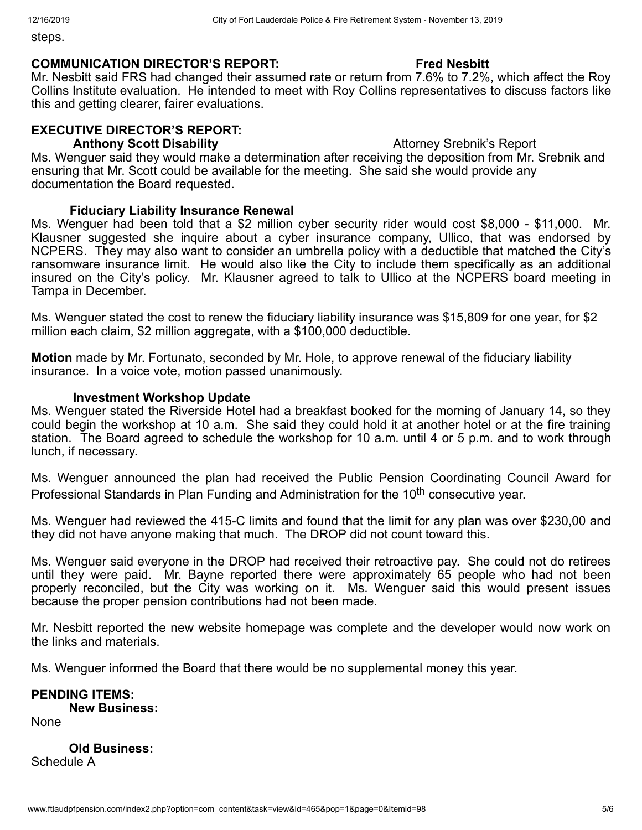steps.

#### **COMMUNICATION DIRECTOR'S REPORT: Fred Nesbitt**

Mr. Nesbitt said FRS had changed their assumed rate or return from 7.6% to 7.2%, which affect the Roy Collins Institute evaluation. He intended to meet with Roy Collins representatives to discuss factors like this and getting clearer, fairer evaluations.

## **EXECUTIVE DIRECTOR'S REPORT:**

**Anthony Scott Disability**  Attorney Srebnik's Report

Ms. Wenguer said they would make a determination after receiving the deposition from Mr. Srebnik and ensuring that Mr. Scott could be available for the meeting. She said she would provide any documentation the Board requested.

## **Fiduciary Liability Insurance Renewal**

Ms. Wenguer had been told that a \$2 million cyber security rider would cost \$8,000 - \$11,000. Mr. Klausner suggested she inquire about a cyber insurance company, Ullico, that was endorsed by NCPERS. They may also want to consider an umbrella policy with a deductible that matched the City's ransomware insurance limit. He would also like the City to include them specifically as an additional insured on the City's policy. Mr. Klausner agreed to talk to Ullico at the NCPERS board meeting in Tampa in December.

Ms. Wenguer stated the cost to renew the fiduciary liability insurance was \$15,809 for one year, for \$2 million each claim, \$2 million aggregate, with a \$100,000 deductible.

**Motion** made by Mr. Fortunato, seconded by Mr. Hole, to approve renewal of the fiduciary liability insurance. In a voice vote, motion passed unanimously.

### **Investment Workshop Update**

Ms. Wenguer stated the Riverside Hotel had a breakfast booked for the morning of January 14, so they could begin the workshop at 10 a.m. She said they could hold it at another hotel or at the fire training station. The Board agreed to schedule the workshop for 10 a.m. until 4 or 5 p.m. and to work through lunch, if necessary.

Ms. Wenguer announced the plan had received the Public Pension Coordinating Council Award for Professional Standards in Plan Funding and Administration for the 10<sup>th</sup> consecutive year.

Ms. Wenguer had reviewed the 415-C limits and found that the limit for any plan was over \$230,00 and they did not have anyone making that much. The DROP did not count toward this.

Ms. Wenguer said everyone in the DROP had received their retroactive pay. She could not do retirees until they were paid. Mr. Bayne reported there were approximately 65 people who had not been properly reconciled, but the City was working on it. Ms. Wenguer said this would present issues because the proper pension contributions had not been made.

Mr. Nesbitt reported the new website homepage was complete and the developer would now work on the links and materials.

Ms. Wenguer informed the Board that there would be no supplemental money this year.

**PENDING ITEMS: New Business:** None

**Old Business:**  Schedule A